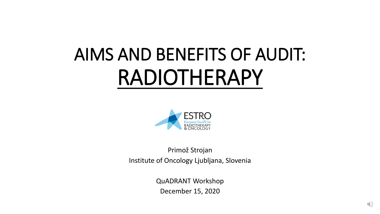# AIMS AND BENEFITS OF AUDIT: RADIOTHERAPY



Primož Strojan Institute of Oncology Ljubljana, Slovenia

> QuADRANT Workshop December 15, 2020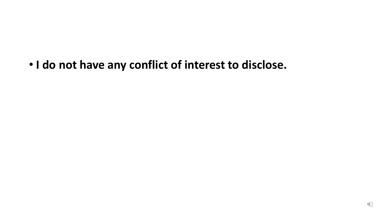• **I do not have any conflict of interest to disclose.**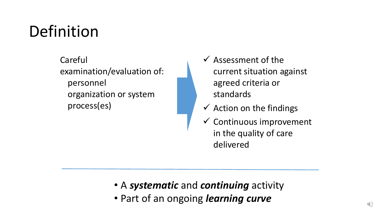# Definition

Careful examination/evaluation of: personnel organization or system process(es)

- $\checkmark$  Assessment of the current situation against agreed criteria or standards
- $\checkmark$  Action on the findings
- $\checkmark$  Continuous improvement in the quality of care delivered

- A *systematic* and *continuing* activity
- Part of an ongoing *learning curve*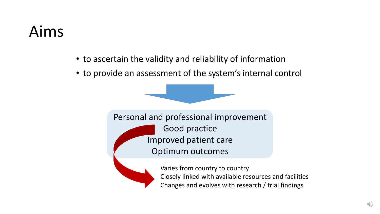### Aims

- to ascertain the validity and reliability of information
- to provide an assessment of the system's internal control



Personal and professional improvement Good practice Improved patient care Optimum outcomes



Varies from country to country Closely linked with available resources and facilities Changes and evolves with research / trial findings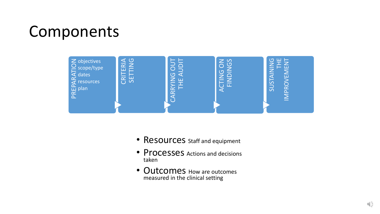### Components



- Resources staff and equipment
- Processes Actions and decisions taken
- Outcomes How are outcomes measured in the clinical setting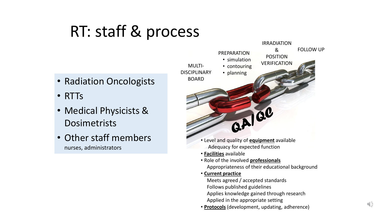# RT: staff & process

- Radiation Oncologists
- RTTs
- Medical Physicists & Dosimetrists
- Other staff members nurses, administrators

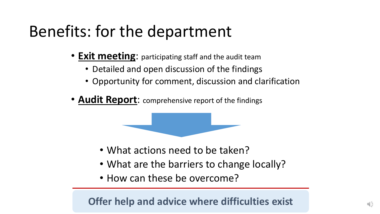# Benefits: for the department

- **Exit meeting**: participating staff and the audit team
	- Detailed and open discussion of the findings
	- Opportunity for comment, discussion and clarification
- **Audit Report:** comprehensive report of the findings

- What actions need to be taken?
- What are the barriers to change locally?
- How can these be overcome?

**Offer help and advice where difficulties exist**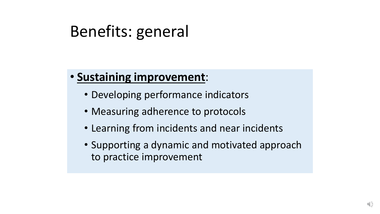### Benefits: general

#### • **Sustaining improvement**:

- Developing performance indicators
- Measuring adherence to protocols
- Learning from incidents and near incidents
- Supporting a dynamic and motivated approach to practice improvement